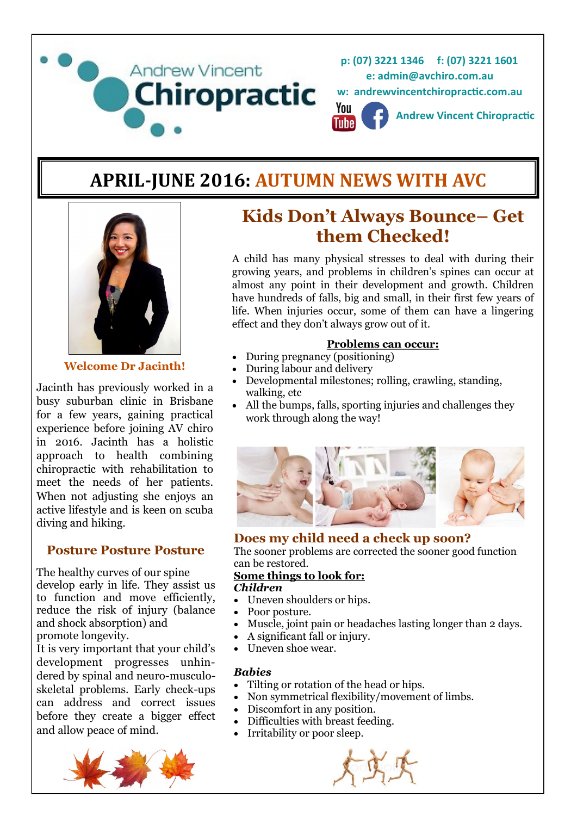

# **APRIL-JUNE 2016: AUTUMN NEWS WITH AVC**



**Welcome Dr Jacinth!**

Jacinth has previously worked in a busy suburban clinic in Brisbane for a few years, gaining practical experience before joining AV chiro in 2016. Jacinth has a holistic approach to health combining chiropractic with rehabilitation to meet the needs of her patients. When not adjusting she enjoys an active lifestyle and is keen on scuba diving and hiking.

### **Posture Posture Posture**

The healthy curves of our spine develop early in life. They assist us to function and move efficiently, reduce the risk of injury (balance and shock absorption) and promote longevity.

It is very important that your child's development progresses unhindered by spinal and neuro-musculoskeletal problems. Early check-ups can address and correct issues before they create a bigger effect and allow peace of mind.



# **Kids Don't Always Bounce– Get them Checked!**

A child has many physical stresses to deal with during their growing years, and problems in children's spines can occur at almost any point in their development and growth. Children have hundreds of falls, big and small, in their first few years of life. When injuries occur, some of them can have a lingering effect and they don't always grow out of it.

### **Problems can occur:**

- During pregnancy (positioning)
- During labour and delivery
- Developmental milestones; rolling, crawling, standing, walking, etc
- All the bumps, falls, sporting injuries and challenges they work through along the way!



### **Does my child need a check up soon?**

The sooner problems are corrected the sooner good function can be restored.

### **Some things to look for:**

### *Children*

- Uneven shoulders or hips.
- Poor posture.
- Muscle, joint pain or headaches lasting longer than 2 days.
- A significant fall or injury.
- Uneven shoe wear.

### *Babies*

- Tilting or rotation of the head or hips.
- Non symmetrical flexibility/movement of limbs.
- Discomfort in any position.
- Difficulties with breast feeding.
- Irritability or poor sleep.